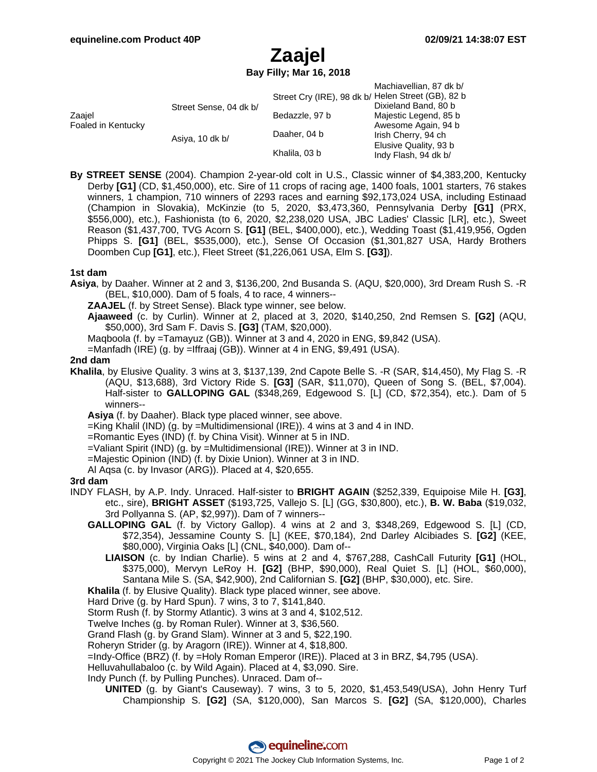# **Zaajel**

**Bay Filly; Mar 16, 2018**

|                              |                        |                                                    | Machiavellian, 87 dk b/ |
|------------------------------|------------------------|----------------------------------------------------|-------------------------|
| Zaajel<br>Foaled in Kentucky | Street Sense, 04 dk b/ | Street Cry (IRE), 98 dk b/ Helen Street (GB), 82 b |                         |
|                              |                        |                                                    | Dixieland Band, 80 b    |
|                              |                        | Bedazzle, 97 b                                     | Majestic Legend, 85 b   |
|                              |                        |                                                    | Awesome Again, 94 b     |
|                              | Asiya, 10 dk b/        | Daaher, 04 b                                       | Irish Cherry, 94 ch     |
|                              |                        |                                                    | Elusive Quality, 93 b   |
|                              |                        | Khalila, 03 b                                      | Indy Flash, 94 dk b/    |

**By STREET SENSE** (2004). Champion 2-year-old colt in U.S., Classic winner of \$4,383,200, Kentucky Derby **[G1]** (CD, \$1,450,000), etc. Sire of 11 crops of racing age, 1400 foals, 1001 starters, 76 stakes winners, 1 champion, 710 winners of 2293 races and earning \$92,173,024 USA, including Estinaad (Champion in Slovakia), McKinzie (to 5, 2020, \$3,473,360, Pennsylvania Derby **[G1]** (PRX, \$556,000), etc.), Fashionista (to 6, 2020, \$2,238,020 USA, JBC Ladies' Classic [LR], etc.), Sweet Reason (\$1,437,700, TVG Acorn S. **[G1]** (BEL, \$400,000), etc.), Wedding Toast (\$1,419,956, Ogden Phipps S. **[G1]** (BEL, \$535,000), etc.), Sense Of Occasion (\$1,301,827 USA, Hardy Brothers Doomben Cup **[G1]**, etc.), Fleet Street (\$1,226,061 USA, Elm S. **[G3]**).

#### **1st dam**

- **Asiya**, by Daaher. Winner at 2 and 3, \$136,200, 2nd Busanda S. (AQU, \$20,000), 3rd Dream Rush S. -R (BEL, \$10,000). Dam of 5 foals, 4 to race, 4 winners--
	- **ZAAJEL** (f. by Street Sense). Black type winner, see below.
	- **Ajaaweed** (c. by Curlin). Winner at 2, placed at 3, 2020, \$140,250, 2nd Remsen S. **[G2]** (AQU, \$50,000), 3rd Sam F. Davis S. **[G3]** (TAM, \$20,000).
	- Maqboola (f. by =Tamayuz (GB)). Winner at 3 and 4, 2020 in ENG, \$9,842 (USA).
	- =Manfadh (IRE) (g. by =Iffraaj (GB)). Winner at 4 in ENG, \$9,491 (USA).

#### **2nd dam**

- **Khalila**, by Elusive Quality. 3 wins at 3, \$137,139, 2nd Capote Belle S. -R (SAR, \$14,450), My Flag S. -R (AQU, \$13,688), 3rd Victory Ride S. **[G3]** (SAR, \$11,070), Queen of Song S. (BEL, \$7,004). Half-sister to **GALLOPING GAL** (\$348,269, Edgewood S. [L] (CD, \$72,354), etc.). Dam of 5 winners--
	- **Asiya** (f. by Daaher). Black type placed winner, see above.
	- =King Khalil (IND) (g. by =Multidimensional (IRE)). 4 wins at 3 and 4 in IND.
	- =Romantic Eyes (IND) (f. by China Visit). Winner at 5 in IND.
	- =Valiant Spirit (IND) (g. by =Multidimensional (IRE)). Winner at 3 in IND.
	- =Majestic Opinion (IND) (f. by Dixie Union). Winner at 3 in IND.
	- Al Aqsa (c. by Invasor (ARG)). Placed at 4, \$20,655.

#### **3rd dam**

- INDY FLASH, by A.P. Indy. Unraced. Half-sister to **BRIGHT AGAIN** (\$252,339, Equipoise Mile H. **[G3]**, etc., sire), **BRIGHT ASSET** (\$193,725, Vallejo S. [L] (GG, \$30,800), etc.), **B. W. Baba** (\$19,032, 3rd Pollyanna S. (AP, \$2,997)). Dam of 7 winners--
	- **GALLOPING GAL** (f. by Victory Gallop). 4 wins at 2 and 3, \$348,269, Edgewood S. [L] (CD, \$72,354), Jessamine County S. [L] (KEE, \$70,184), 2nd Darley Alcibiades S. **[G2]** (KEE, \$80,000), Virginia Oaks [L] (CNL, \$40,000). Dam of--
		- **LIAISON** (c. by Indian Charlie). 5 wins at 2 and 4, \$767,288, CashCall Futurity **[G1]** (HOL, \$375,000), Mervyn LeRoy H. **[G2]** (BHP, \$90,000), Real Quiet S. [L] (HOL, \$60,000), Santana Mile S. (SA, \$42,900), 2nd Californian S. **[G2]** (BHP, \$30,000), etc. Sire.
	- **Khalila** (f. by Elusive Quality). Black type placed winner, see above.
	- Hard Drive (g. by Hard Spun). 7 wins, 3 to 7, \$141,840.
	- Storm Rush (f. by Stormy Atlantic). 3 wins at 3 and 4, \$102,512.
	- Twelve Inches (g. by Roman Ruler). Winner at 3, \$36,560.
	- Grand Flash (g. by Grand Slam). Winner at 3 and 5, \$22,190.
	- Roheryn Strider (g. by Aragorn (IRE)). Winner at 4, \$18,800.
	- =Indy-Office (BRZ) (f. by =Holy Roman Emperor (IRE)). Placed at 3 in BRZ, \$4,795 (USA).
	- Helluvahullabaloo (c. by Wild Again). Placed at 4, \$3,090. Sire.
	- Indy Punch (f. by Pulling Punches). Unraced. Dam of--
		- **UNITED** (g. by Giant's Causeway). 7 wins, 3 to 5, 2020, \$1,453,549(USA), John Henry Turf Championship S. **[G2]** (SA, \$120,000), San Marcos S. **[G2]** (SA, \$120,000), Charles